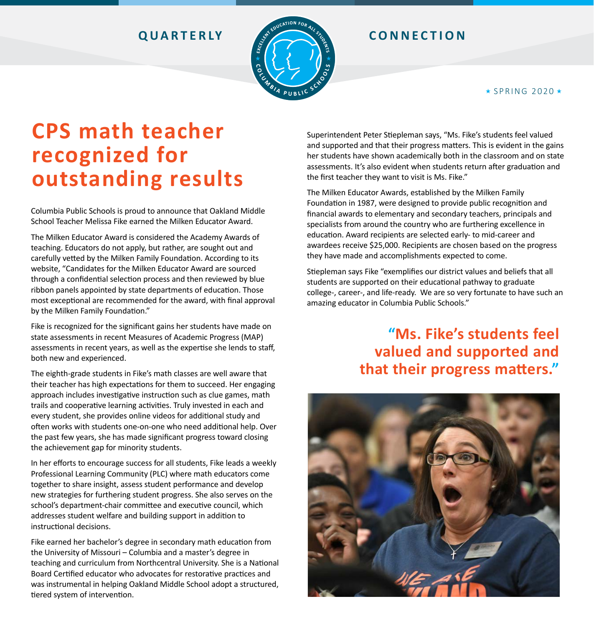

### **OUARTERLY EXAMPLE CONNECTION**

### $\star$  SPRING 2020  $\star$

# **CPS math teacher recognized for outstanding results**

Columbia Public Schools is proud to announce that Oakland Middle School Teacher Melissa Fike earned the Milken Educator Award.

The Milken Educator Award is considered the Academy Awards of teaching. Educators do not apply, but rather, are sought out and carefully vetted by the Milken Family Foundation. According to its website, "Candidates for the Milken Educator Award are sourced through a confidential selection process and then reviewed by blue ribbon panels appointed by state departments of education. Those most exceptional are recommended for the award, with final approval by the Milken Family Foundation."

Fike is recognized for the significant gains her students have made on state assessments in recent Measures of Academic Progress (MAP) assessments in recent years, as well as the expertise she lends to staff, both new and experienced.

The eighth-grade students in Fike's math classes are well aware that their teacher has high expectations for them to succeed. Her engaging approach includes investigative instruction such as clue games, math trails and cooperative learning activities. Truly invested in each and every student, she provides online videos for additional study and often works with students one-on-one who need additional help. Over the past few years, she has made significant progress toward closing the achievement gap for minority students.

In her efforts to encourage success for all students, Fike leads a weekly Professional Learning Community (PLC) where math educators come together to share insight, assess student performance and develop new strategies for furthering student progress. She also serves on the school's department-chair committee and executive council, which addresses student welfare and building support in addition to instructional decisions.

Fike earned her bachelor's degree in secondary math education from the University of Missouri – Columbia and a master's degree in teaching and curriculum from Northcentral University. She is a National Board Certified educator who advocates for restorative practices and was instrumental in helping Oakland Middle School adopt a structured, tiered system of intervention.

Superintendent Peter Stiepleman says, "Ms. Fike's students feel valued and supported and that their progress matters. This is evident in the gains her students have shown academically both in the classroom and on state assessments. It's also evident when students return after graduation and the first teacher they want to visit is Ms. Fike."

The Milken Educator Awards, established by the Milken Family Foundation in 1987, were designed to provide public recognition and financial awards to elementary and secondary teachers, principals and specialists from around the country who are furthering excellence in education. Award recipients are selected early- to mid-career and awardees receive \$25,000. Recipients are chosen based on the progress they have made and accomplishments expected to come.

Stiepleman says Fike "exemplifies our district values and beliefs that all students are supported on their educational pathway to graduate college-, career-, and life-ready. We are so very fortunate to have such an amazing educator in Columbia Public Schools."

## **"Ms. Fike's students feel valued and supported and that their progress matters."**

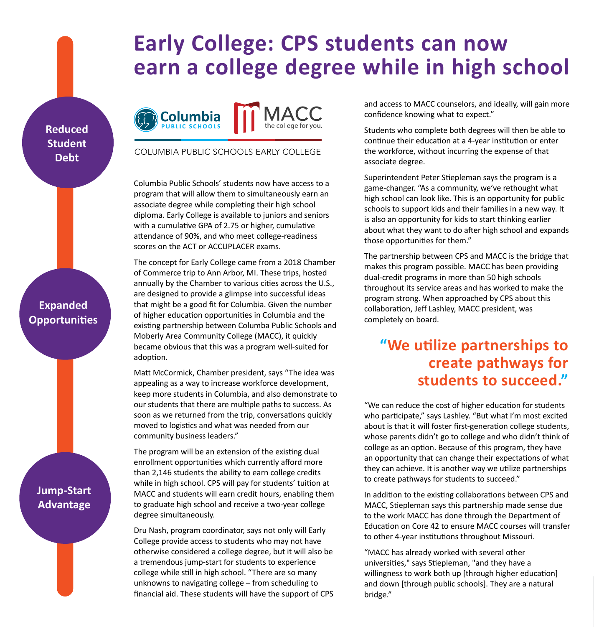# **Early College: CPS students can now earn a college degree while in high school**

**Reduced Student Debt**



**Jump-Start Advantage**



### COLUMBIA PUBLIC SCHOOLS EARLY COLLEGE

Columbia Public Schools' students now have access to a program that will allow them to simultaneously earn an associate degree while completing their high school diploma. Early College is available to juniors and seniors with a cumulative GPA of 2.75 or higher, cumulative attendance of 90%, and who meet college-readiness scores on the ACT or ACCUPLACER exams.

The concept for Early College came from a 2018 Chamber of Commerce trip to Ann Arbor, MI. These trips, hosted annually by the Chamber to various cities across the U.S., are designed to provide a glimpse into successful ideas that might be a good fit for Columbia. Given the number of higher education opportunities in Columbia and the existing partnership between Columba Public Schools and Moberly Area Community College (MACC), it quickly became obvious that this was a program well-suited for adoption.

Matt McCormick, Chamber president, says "The idea was appealing as a way to increase workforce development, keep more students in Columbia, and also demonstrate to our students that there are multiple paths to success. As soon as we returned from the trip, conversations quickly moved to logistics and what was needed from our community business leaders."

The program will be an extension of the existing dual enrollment opportunities which currently afford more than 2,146 students the ability to earn college credits while in high school. CPS will pay for students' tuition at MACC and students will earn credit hours, enabling them to graduate high school and receive a two-year college degree simultaneously.

Dru Nash, program coordinator, says not only will Early College provide access to students who may not have otherwise considered a college degree, but it will also be a tremendous jump-start for students to experience college while still in high school. "There are so many unknowns to navigating college – from scheduling to financial aid. These students will have the support of CPS and access to MACC counselors, and ideally, will gain more confidence knowing what to expect."

Students who complete both degrees will then be able to continue their education at a 4-year institution or enter the workforce, without incurring the expense of that associate degree.

Superintendent Peter Stiepleman says the program is a game-changer. "As a community, we've rethought what high school can look like. This is an opportunity for public schools to support kids and their families in a new way. It is also an opportunity for kids to start thinking earlier about what they want to do after high school and expands those opportunities for them."

The partnership between CPS and MACC is the bridge that makes this program possible. MACC has been providing dual-credit programs in more than 50 high schools throughout its service areas and has worked to make the program strong. When approached by CPS about this collaboration, Jeff Lashley, MACC president, was completely on board.

## **"We utilize partnerships to create pathways for students to succeed."**

"We can reduce the cost of higher education for students who participate," says Lashley. "But what I'm most excited about is that it will foster first-generation college students, whose parents didn't go to college and who didn't think of college as an option. Because of this program, they have an opportunity that can change their expectations of what they can achieve. It is another way we utilize partnerships to create pathways for students to succeed."

In addition to the existing collaborations between CPS and MACC, Stiepleman says this partnership made sense due to the work MACC has done through the Department of Education on Core 42 to ensure MACC courses will transfer to other 4-year institutions throughout Missouri.

"MACC has already worked with several other universities," says Stiepleman, "and they have a willingness to work both up [through higher education] and down [through public schools]. They are a natural bridge."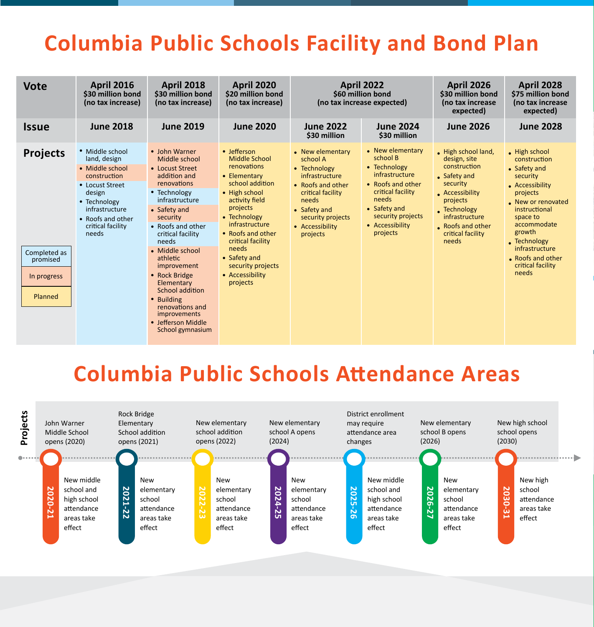# **Columbia Public Schools Facility and Bond Plan**

| expected)<br>expected)                                                                                                                                                                                                                                                                                                                                                                                                                                                                                                                                                                                                                                                                                                                                                                                                                                                                                                                                                                                                                                                                                                                                                                                                                                                                                                                                                                                                                                                                                                                                                                                                                                                                                                                                                                                   |
|----------------------------------------------------------------------------------------------------------------------------------------------------------------------------------------------------------------------------------------------------------------------------------------------------------------------------------------------------------------------------------------------------------------------------------------------------------------------------------------------------------------------------------------------------------------------------------------------------------------------------------------------------------------------------------------------------------------------------------------------------------------------------------------------------------------------------------------------------------------------------------------------------------------------------------------------------------------------------------------------------------------------------------------------------------------------------------------------------------------------------------------------------------------------------------------------------------------------------------------------------------------------------------------------------------------------------------------------------------------------------------------------------------------------------------------------------------------------------------------------------------------------------------------------------------------------------------------------------------------------------------------------------------------------------------------------------------------------------------------------------------------------------------------------------------|
| <b>June 2019</b><br><b>Issue</b><br><b>June 2018</b><br><b>June 2020</b><br><b>June 2022</b><br><b>June 2024</b><br><b>June 2028</b><br><b>June 2026</b><br>\$30 million<br>\$30 million                                                                                                                                                                                                                                                                                                                                                                                                                                                                                                                                                                                                                                                                                                                                                                                                                                                                                                                                                                                                                                                                                                                                                                                                                                                                                                                                                                                                                                                                                                                                                                                                                 |
| • New elementary<br>• Middle school<br>• John Warner<br>• Jefferson<br>• New elementary<br>High school land,<br>• High school<br><b>Projects</b><br>school B<br><b>Middle School</b><br>land, design<br>design, site<br>construction<br>Middle school<br>school A<br>construction<br>renovations<br>• Technology<br>• Safety and<br>• Middle school<br>• Locust Street<br>• Technology<br>infrastructure<br>construction<br>addition and<br>• Elementary<br>infrastructure<br>Safety and<br>security<br>school addition<br>renovations<br>• Roofs and other<br>security<br>• Locust Street<br>• Roofs and other<br>• Accessibility<br>critical facility<br>• High school<br>design<br>• Technology<br>Accessibility<br>critical facility<br>projects<br>needs<br>activity field<br>infrastructure<br>needs<br>projects<br>• Technology<br>New or renovated<br>projects<br>• Safety and<br>Technology<br>• Safety and<br>• Safety and<br>instructional<br>infrastructure<br>security projects<br>• Technology<br>infrastructure<br>security projects<br>security<br>space to<br>• Roofs and other<br>infrastructure<br>accommodate<br>• Accessibility<br>critical facility<br>• Roofs and other<br>Roofs and other<br>• Accessibility<br>growth<br>projects<br>• Roofs and other<br>critical facility<br>needs<br>critical facility<br>projects<br>. Technology<br>critical facility<br>needs<br>needs<br>infrastructure<br>needs<br>• Middle school<br>Completed as<br>• Safety and<br>athletic<br>• Roofs and other<br>promised<br>critical facility<br>security projects<br>improvement<br>needs<br>• Accessibility<br>• Rock Bridge<br>In progress<br>projects<br>Elementary<br>School addition<br>Planned<br>• Building<br>renovations and<br>improvements<br>• Jefferson Middle<br>School gymnasium |

# **Columbia Public Schools Attendance Areas**

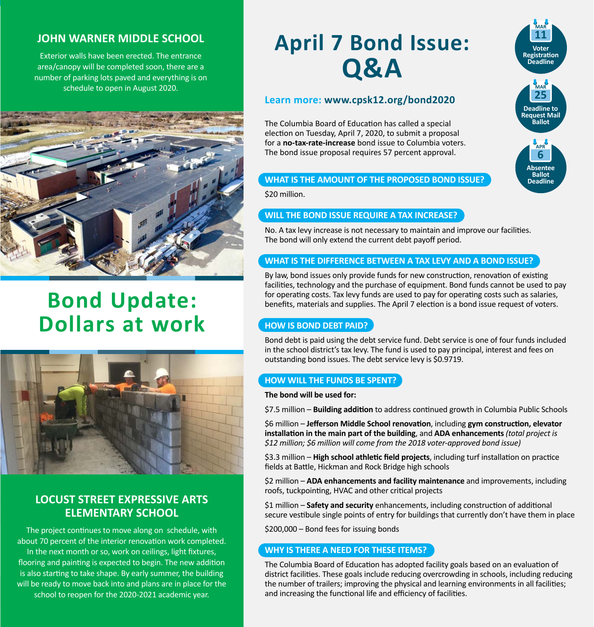### **JOHN WARNER MIDDLE SCHOOL**

Exterior walls have been erected. The entrance area/canopy will be completed soon, there are a number of parking lots paved and everything is on schedule to open in August 2020.



# **Bond Update: Dollars at work**



### **LOCUST STREET EXPRESSIVE ARTS ELEMENTARY SCHOOL**

The project continues to move along on schedule, with about 70 percent of the interior renovation work completed. In the next month or so, work on ceilings, light fixtures, flooring and painting is expected to begin. The new addition is also starting to take shape. By early summer, the building will be ready to move back into and plans are in place for the school to reopen for the 2020-2021 academic year.

# **April 7 Bond Issue: Q&A**

### **Learn more: [www.cpsk12.org/bond2020](http://www.cpsk12.org/bond2020)**

The Columbia Board of Education has called a special election on Tuesday, April 7, 2020, to submit a proposal for a **no-tax-rate-increase** bond issue to Columbia voters. The bond issue proposal requires 57 percent approval.

### **WHAT IS THE AMOUNT OF THE PROPOSED BOND ISSUE?**

\$20 million.

### **WILL THE BOND ISSUE REQUIRE A TAX INCREASE?**

No. A tax levy increase is not necessary to maintain and improve our facilities. The bond will only extend the current debt payoff period.

### **WHAT IS THE DIFFERENCE BETWEEN A TAX LEVY AND A BOND ISSUE?**

By law, bond issues only provide funds for new construction, renovation of existing facilities, technology and the purchase of equipment. Bond funds cannot be used to pay for operating costs. Tax levy funds are used to pay for operating costs such as salaries, benefits, materials and supplies. The April 7 election is a bond issue request of voters.

### **HOW IS BOND DEBT PAID?**

Bond debt is paid using the debt service fund. Debt service is one of four funds included in the school district's tax levy. The fund is used to pay principal, interest and fees on outstanding bond issues. The debt service levy is \$0.9719.

### **HOW WILL THE FUNDS BE SPENT?**

### **The bond will be used for:**

\$7.5 million – **Building addition** to address continued growth in Columbia Public Schools

\$6 million – **Jefferson Middle School renovation**, including **gym construction, elevator installation in the main part of the building**, and **ADA enhancements***(total project is \$12 million; \$6 million will come from the 2018 voter-approved bond issue)* 

\$3.3 million – **High school athletic field projects**, including turf installation on practice fields at Battle, Hickman and Rock Bridge high schools

\$2 million – **ADA enhancements and facility maintenance** and improvements, including roofs, tuckpointing, HVAC and other critical projects

\$1 million – **Safety and security** enhancements, including construction of additional secure vestibule single points of entry for buildings that currently don't have them in place

\$200,000 – Bond fees for issuing bonds

### **WHY IS THERE A NEED FOR THESE ITEMS?**

The Columbia Board of Education has adopted facility goals based on an evaluation of district facilities. These goals include reducing overcrowding in schools, including reducing the number of trailers; improving the physical and learning environments in all facilities; and increasing the functional life and efficiency of facilities.

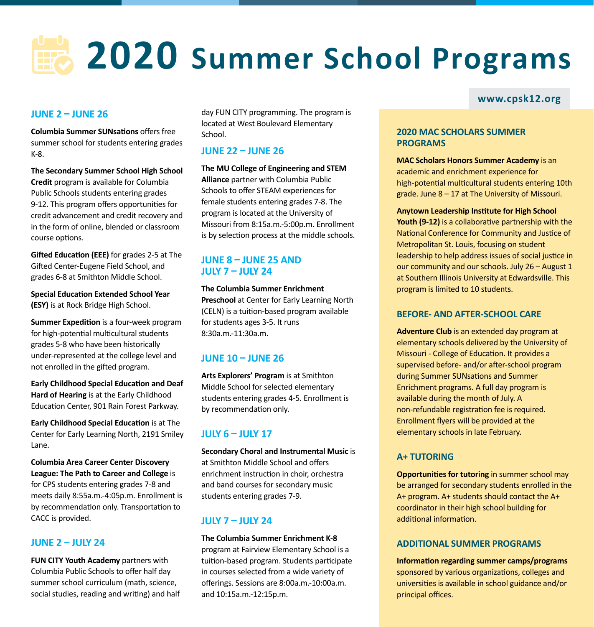# **2020 Summer School Programs**

### **JUNE 2 – JUNE 26**

**Columbia Summer SUNsations** offers free summer school for students entering grades K-8.

**The Secondary Summer School High School Credit** program is available for Columbia Public Schools students entering grades 9-12. This program offers opportunities for credit advancement and credit recovery and in the form of online, blended or classroom course options.

**Gifted Education (EEE)** for grades 2-5 at The Gifted Center-Eugene Field School, and grades 6-8 at Smithton Middle School.

**Special Education Extended School Year (ESY)** is at Rock Bridge High School.

**Summer Expedition** is a four-week program for high-potential multicultural students grades 5-8 who have been historically under-represented at the college level and not enrolled in the gifted program.

**Early Childhood Special Education and Deaf Hard of Hearing** is at the Early Childhood Education Center, 901 Rain Forest Parkway.

**Early Childhood Special Education** is at The Center for Early Learning North, 2191 Smiley Lane.

**Columbia Area Career Center Discovery League: The Path to Career and College** is for CPS students entering grades 7-8 and meets daily 8:55a.m.-4:05p.m. Enrollment is by recommendation only. Transportation to CACC is provided.

### **JUNE 2 – JULY 24**

**FUN CITY Youth Academy** partners with Columbia Public Schools to offer half day summer school curriculum (math, science, social studies, reading and writing) and half day FUN CITY programming. The program is located at West Boulevard Elementary School.

### **JUNE 22 – JUNE 26**

### **The MU College of Engineering and STEM**

**Alliance** partner with Columbia Public Schools to offer STEAM experiences for female students entering grades 7-8. The program is located at the University of Missouri from 8:15a.m.-5:00p.m. Enrollment is by selection process at the middle schools.

### **JUNE 8 – JUNE 25 AND JULY 7 – JULY 24**

### **The Columbia Summer Enrichment**

**Preschool** at Center for Early Learning North (CELN) is a tuition-based program available for students ages 3-5. It runs 8:30a.m.-11:30a.m.

### **JUNE 10 – JUNE 26**

**Arts Explorers' Program** is at Smithton Middle School for selected elementary students entering grades 4-5. Enrollment is by recommendation only.

### **JULY 6 – JULY 17**

**Secondary Choral and Instrumental Music** is at Smithton Middle School and offers enrichment instruction in choir, orchestra and band courses for secondary music students entering grades 7-9.

### **JULY 7 – JULY 24**

**The Columbia Summer Enrichment K-8** program at Fairview Elementary School is a tuition-based program. Students participate in courses selected from a wide variety of offerings. Sessions are 8:00a.m.-10:00a.m. and 10:15a.m.-12:15p.m.

### **[www.cpsk12.org](http://www.cpsk12.org)**

### **2020 MAC SCHOLARS SUMMER PROGRAMS**

**MAC Scholars Honors Summer Academy** is an academic and enrichment experience for high-potential multicultural students entering 10th grade. June 8 – 17 at The University of Missouri.

**Anytown Leadership Institute for High School Youth (9-12)** is a collaborative partnership with the National Conference for Community and Justice of Metropolitan St. Louis, focusing on student leadership to help address issues of social justice in our community and our schools. July 26 – August 1 at Southern Illinois University at Edwardsville. This program is limited to 10 students.

### **BEFORE- AND AFTER-SCHOOL CARE**

**Adventure Club** is an extended day program at elementary schools delivered by the University of Missouri - College of Education. It provides a supervised before- and/or after-school program during Summer SUNsations and Summer Enrichment programs. A full day program is available during the month of July. A non-refundable registration fee is required. Enrollment flyers will be provided at the elementary schools in late February.

### **A+ TUTORING**

**Opportunities for tutoring** in summer school may be arranged for secondary students enrolled in the A+ program. A+ students should contact the A+ coordinator in their high school building for additional information.

### **ADDITIONAL SUMMER PROGRAMS**

**Information regarding summer camps/programs** sponsored by various organizations, colleges and universities is available in school guidance and/or principal offices.